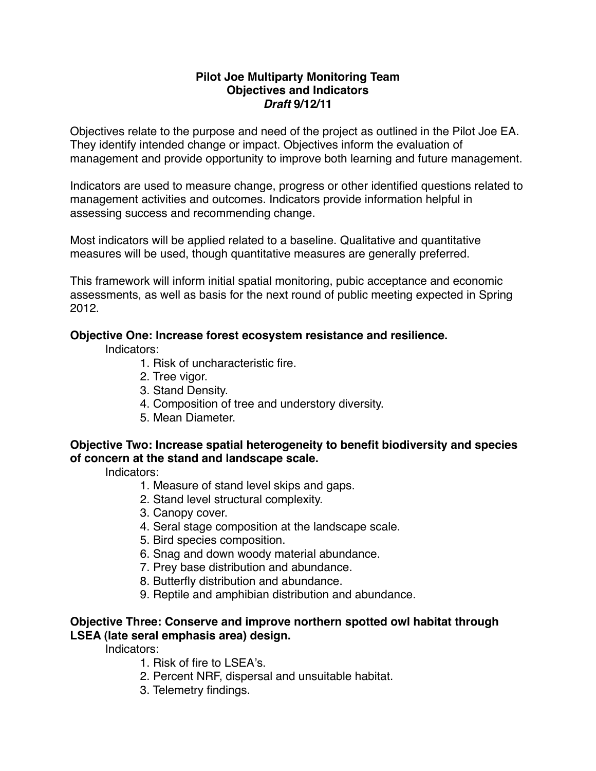#### **Pilot Joe Multiparty Monitoring Team Objectives and Indicators** *Draft* **9/12/11**

Objectives relate to the purpose and need of the project as outlined in the Pilot Joe EA. They identify intended change or impact. Objectives inform the evaluation of management and provide opportunity to improve both learning and future management.

Indicators are used to measure change, progress or other identified questions related to management activities and outcomes. Indicators provide information helpful in assessing success and recommending change.

Most indicators will be applied related to a baseline. Qualitative and quantitative measures will be used, though quantitative measures are generally preferred.

This framework will inform initial spatial monitoring, pubic acceptance and economic assessments, as well as basis for the next round of public meeting expected in Spring 2012.

### **Objective One: Increase forest ecosystem resistance and resilience.**

Indicators:

- 1. Risk of uncharacteristic fire.
- 2. Tree vigor.
- 3. Stand Density.
- 4. Composition of tree and understory diversity.
- 5. Mean Diameter.

### **Objective Two: Increase spatial heterogeneity to benefit biodiversity and species of concern at the stand and landscape scale.**

Indicators:

- 1. Measure of stand level skips and gaps.
- 2. Stand level structural complexity.
- 3. Canopy cover.
- 4. Seral stage composition at the landscape scale.
- 5. Bird species composition.
- 6. Snag and down woody material abundance.
- 7. Prey base distribution and abundance.
- 8. Butterfly distribution and abundance.
- 9. Reptile and amphibian distribution and abundance.

## **Objective Three: Conserve and improve northern spotted owl habitat through LSEA (late seral emphasis area) design.**

Indicators:

- 1. Risk of fire to LSEA's.
- 2. Percent NRF, dispersal and unsuitable habitat.
- 3. Telemetry findings.